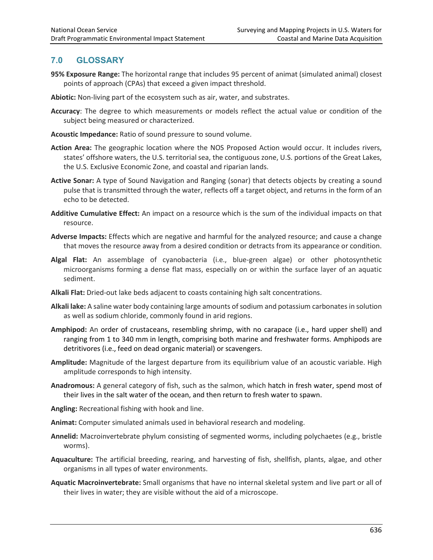## **7.0 GLOSSARY**

- **95% Exposure Range:** The horizontal range that includes 95 percent of animat (simulated animal) closest points of approach (CPAs) that exceed a given impact threshold.
- **Abiotic:** Non-living part of the ecosystem such as air, water, and substrates.
- **Accuracy**: The degree to which measurements or models reflect the actual value or condition of the subject being measured or characterized.
- **Acoustic Impedance:** Ratio of sound pressure to sound volume.
- **Action Area:** The geographic location where the NOS Proposed Action would occur. It includes rivers, states' offshore waters, the U.S. territorial sea, the contiguous zone, U.S. portions of the Great Lakes, the U.S. Exclusive Economic Zone, and coastal and riparian lands.
- **Active Sonar:** A type of Sound Navigation and Ranging (sonar) that detects objects by creating a sound pulse that is transmitted through the water, reflects off a target object, and returns in the form of an echo to be detected.
- **Additive Cumulative Effect:** An impact on a resource which is the sum of the individual impacts on that resource.
- **Adverse Impacts:** Effects which are negative and harmful for the analyzed resource; and cause a change that moves the resource away from a desired condition or detracts from its appearance or condition.
- **Algal Flat:** An assemblage of cyanobacteria (i.e., blue-green algae) or other photosynthetic microorganisms forming a dense flat mass, especially on or within the surface layer of an aquatic sediment.
- **Alkali Flat:** Dried-out lake beds adjacent to coasts containing high salt concentrations.
- **Alkali lake:** A saline water body containing large amounts of sodium and potassium carbonates in solution as well as sodium chloride, commonly found in arid regions.
- **Amphipod:** An order of crustaceans, resembling shrimp, with no carapace (i.e., hard upper shell) and ranging from 1 to 340 mm in length, comprising both marine and freshwater forms. Amphipods are detritivores (i.e., feed on dead organic material) or scavengers.
- **Amplitude:** Magnitude of the largest departure from its equilibrium value of an acoustic variable. High amplitude corresponds to high intensity.
- **Anadromous:** A general category of fish, such as the salmon, which hatch in fresh water, spend most of their lives in the salt water of the ocean, and then return to fresh water to spawn.
- **Angling:** Recreational fishing with hook and line.
- **Animat:** Computer simulated animals used in behavioral research and modeling.
- **Annelid:** Macroinvertebrate phylum consisting of segmented worms, including polychaetes (e.g., bristle worms).
- **Aquaculture:** The artificial breeding, rearing, and harvesting of fish, shellfish, plants, algae, and other organisms in all types of water environments.
- **Aquatic Macroinvertebrate:** Small organisms that have no internal skeletal system and live part or all of their lives in water; they are visible without the aid of a microscope.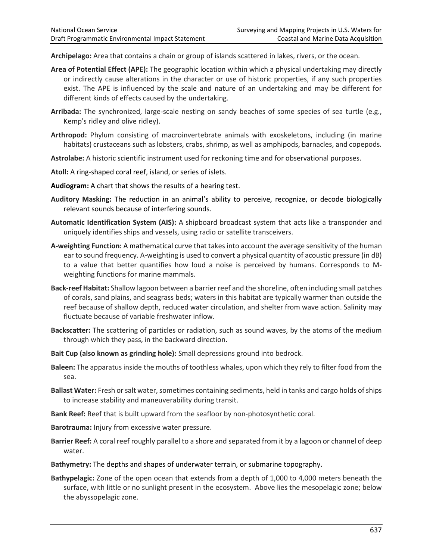**Archipelago:** Area that contains a chain or group of islands scattered in lakes, rivers, or the ocean.

- **Area of Potential Effect (APE):** The geographic location within which a physical undertaking may directly or indirectly cause alterations in the character or use of historic properties, if any such properties exist. The APE is influenced by the scale and nature of an undertaking and may be different for different kinds of effects caused by the undertaking.
- **Arribada:** The synchronized, large-scale nesting on sandy beaches of some species of sea turtle (e.g., Kemp's ridley and olive ridley).
- **Arthropod:** Phylum consisting of macroinvertebrate animals with exoskeletons, including (in marine habitats) crustaceans such as lobsters, crabs, shrimp, as well as amphipods, barnacles, and copepods.
- **Astrolabe:** A historic scientific instrument used for reckoning time and for observational purposes.
- **Atoll:** A ring-shaped coral reef, island, or series of islets.
- **Audiogram:** A chart that shows the results of a hearing test.
- **Auditory Masking:** The reduction in an animal's ability to perceive, recognize, or decode biologically relevant sounds because of interfering sounds.
- **Automatic Identification System (AIS):** A shipboard broadcast system that acts like a transponder and uniquely identifies ships and vessels, using radio or satellite transceivers.
- **A-weighting Function:** A mathematical curve that takes into account the average sensitivity of the human ear to sound frequency. A-weighting is used to convert a physical quantity of acoustic pressure (in dB) to a value that better quantifies how loud a noise is perceived by humans. Corresponds to Mweighting functions for marine mammals.
- **Back-reef Habitat:** Shallow lagoon between a barrier reef and the shoreline, often including small patches of corals, sand plains, and seagrass beds; waters in this habitat are typically warmer than outside the reef because of shallow depth, reduced water circulation, and shelter from wave action. Salinity may fluctuate because of variable freshwater inflow.
- **Backscatter:** The scattering of particles or radiation, such as sound waves, by the atoms of the medium through which they pass, in the backward direction.
- **Bait Cup (also known as grinding hole):** Small depressions ground into bedrock.
- **Baleen:** The apparatus inside the mouths of toothless whales, upon which they rely to filter food from the sea.
- **Ballast Water:** Fresh or salt water, sometimes containing sediments, held in tanks and cargo holds of ships to increase stability and maneuverability during transit.
- **Bank Reef:** Reef that is built upward from the seafloor by non-photosynthetic coral.
- **Barotrauma:** Injury from excessive water pressure.
- **Barrier Reef:** A coral reef roughly parallel to a shore and separated from it by a lagoon or channel of deep water.
- **Bathymetry:** The depths and shapes of underwater terrain, or submarine topography.
- **Bathypelagic:** Zone of the open ocean that extends from a depth of 1,000 to 4,000 meters beneath the surface, with little or no sunlight present in the ecosystem. Above lies the mesopelagic zone; below the abyssopelagic zone.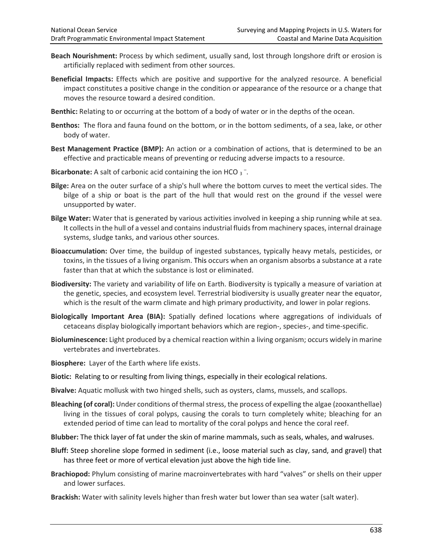- **Beach Nourishment:** Process by which sediment, usually sand, lost through longshore drift or erosion is artificially replaced with sediment from other sources.
- **Beneficial Impacts:** Effects which are positive and supportive for the analyzed resource. A beneficial impact constitutes a positive change in the condition or appearance of the resource or a change that moves the resource toward a desired condition.
- **Benthic:** Relating to or occurring at the bottom of a body of water or in the depths of the ocean.
- **Benthos:** The flora and fauna found on the bottom, or in the bottom sediments, of a sea, lake, or other body of water.
- **Best Management Practice (BMP):** An action or a combination of actions, that is determined to be an effective and practicable means of preventing or reducing adverse impacts to a resource.
- Bicarbonate: A salt of carbonic acid containing the ion HCO 3<sup>-</sup>.
- **Bilge:** Area on the outer surface of a ship's hull where the bottom curves to meet the vertical sides. The bilge of a ship or boat is the part of the hull that would rest on the ground if the vessel were unsupported by water.
- **Bilge Water:** Water that is generated by various activities involved in keeping a ship running while at sea. It collects in the hull of a vessel and contains industrial fluids from machinery spaces, internal drainage systems, sludge tanks, and various other sources.
- **Bioaccumulation:** Over time, the buildup of ingested substances, typically heavy metals, pesticides, or toxins, in the tissues of a living organism. This occurs when an organism absorbs a substance at a rate faster than that at which the substance is lost or eliminated.
- **Biodiversity:** The variety and variability of life on Earth. Biodiversity is typically a measure of variation at the genetic, species, and ecosystem level. Terrestrial biodiversity is usually greater near the equator, which is the result of the warm climate and high primary productivity, and lower in polar regions.
- **Biologically Important Area (BIA):** Spatially defined locations where aggregations of individuals of cetaceans display biologically important behaviors which are region-, species-, and time-specific.
- **Bioluminescence:** Light produced by a chemical reaction within a living organism; occurs widely in marine vertebrates and invertebrates.
- **Biosphere:** Layer of the Earth where life exists.
- **Biotic:** Relating to or resulting from living things, especially in their ecological relations.
- **Bivalve:** Aquatic mollusk with two hinged shells, such as oysters, clams, mussels, and scallops.
- **Bleaching (of coral):** Under conditions of thermal stress, the process of expelling the algae (zooxanthellae) living in the tissues of coral polyps, causing the corals to turn completely white; bleaching for an extended period of time can lead to mortality of the coral polyps and hence the coral reef.
- **Blubber:** The thick layer of fat under the skin of marine mammals, such as seals, whales, and walruses.
- **Bluff:** Steep shoreline slope formed in sediment (i.e., loose material such as clay, sand, and gravel) that has three feet or more of vertical elevation just above the high tide line.
- **Brachiopod:** Phylum consisting of marine macroinvertebrates with hard "valves" or shells on their upper and lower surfaces.
- **Brackish:** Water with salinity levels higher than fresh water but lower than sea water (salt water).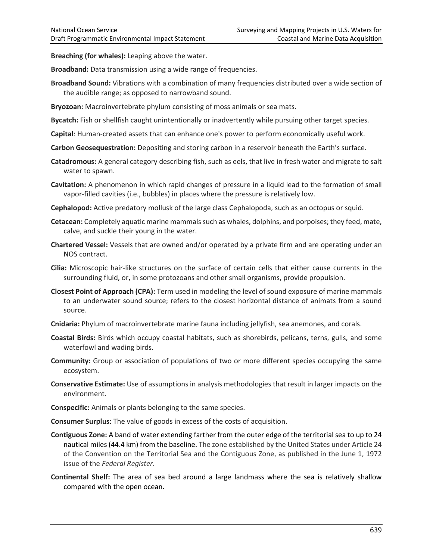**Breaching (for whales):** Leaping above the water.

**Broadband:** Data transmission using a wide range of frequencies.

- **Broadband Sound:** Vibrations with a combination of many frequencies distributed over a wide section of the audible range; as opposed to narrowband sound.
- **Bryozoan:** Macroinvertebrate phylum consisting of moss animals or sea mats.
- **Bycatch:** Fish or shellfish caught unintentionally or inadvertently while pursuing other target species.
- **Capital**: Human-created assets that can enhance one's power to perform economically useful work.
- **Carbon Geosequestration:** Depositing and storing carbon in a reservoir beneath the Earth's surface.
- **Catadromous:** A general category describing fish, such as eels, that live in fresh water and migrate to salt water to spawn.
- **Cavitation:** A phenomenon in which rapid changes of pressure in a liquid lead to the formation of small vapor-filled cavities (i.e., bubbles) in places where the pressure is relatively low.
- **Cephalopod:** Active predatory mollusk of the large class Cephalopoda, such as an octopus or squid.
- **Cetacean:** Completely aquatic marine mammals such as whales, dolphins, and porpoises; they feed, mate, calve, and suckle their young in the water.
- **Chartered Vessel:** Vessels that are owned and/or operated by a private firm and are operating under an NOS contract.
- **Cilia:** Microscopic hair-like structures on the surface of certain cells that either cause currents in the surrounding fluid, or, in some protozoans and other small organisms, provide propulsion.
- **Closest Point of Approach (CPA):** Term used in modeling the level of sound exposure of marine mammals to an underwater sound source; refers to the closest horizontal distance of animats from a sound source.
- **Cnidaria:** Phylum of macroinvertebrate marine fauna including jellyfish, sea anemones, and corals.
- **Coastal Birds:** Birds which occupy coastal habitats, such as shorebirds, pelicans, terns, gulls, and some waterfowl and wading birds.
- **Community:** Group or association of populations of two or more different species occupying the same ecosystem.
- **Conservative Estimate:** Use of assumptions in analysis methodologies that result in larger impacts on the environment.
- **Conspecific:** Animals or plants belonging to the same species.
- **Consumer Surplus**: The value of goods in excess of the costs of acquisition.
- **Contiguous Zone:** A band of water extending farther from the outer edge of the territorial sea to up to 24 nautical miles (44.4 km) from the baseline. The zone established by the United States under Article 24 of the Convention on the Territorial Sea and the Contiguous Zone, as published in the June 1, 1972 issue of the *Federal Register*.
- **Continental Shelf:** The area of sea bed around a large landmass where the sea is relatively shallow compared with the open ocean.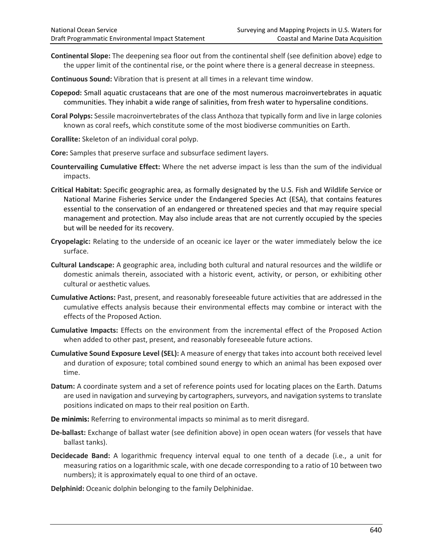- **Continental Slope:** The deepening sea floor out from the continental shelf (see definition above) edge to the upper limit of the continental rise, or the point where there is a general decrease in steepness.
- **Continuous Sound:** Vibration that is present at all times in a relevant time window.
- **Copepod:** Small aquatic crustaceans that are one of the most numerous macroinvertebrates in aquatic communities. They inhabit a wide range of salinities, from fresh water to hypersaline conditions.
- **Coral Polyps:** Sessile macroinvertebrates of the class Anthoza that typically form and live in large colonies known as coral reefs, which constitute some of the most biodiverse communities on Earth.
- **Corallite:** Skeleton of an individual coral polyp.
- **Core:** Samples that preserve surface and subsurface sediment layers.
- **Countervailing Cumulative Effect:** Where the net adverse impact is less than the sum of the individual impacts.
- **Critical Habitat:** Specific geographic area, as formally designated by the U.S. Fish and Wildlife Service or National Marine Fisheries Service under the Endangered Species Act (ESA), that contains features essential to the conservation of an endangered or threatened species and that may require special management and protection. May also include areas that are not currently occupied by the species but will be needed for its recovery.
- **Cryopelagic:** Relating to the underside of an oceanic ice layer or the water immediately below the ice surface.
- **Cultural Landscape:** A geographic area, including both cultural and natural resources and the wildlife or domestic animals therein, associated with a historic event, activity, or person, or exhibiting other cultural or aesthetic values*.*
- **Cumulative Actions:** Past, present, and reasonably foreseeable future activities that are addressed in the cumulative effects analysis because their environmental effects may combine or interact with the effects of the Proposed Action.
- **Cumulative Impacts:** Effects on the environment from the incremental effect of the Proposed Action when added to other past, present, and reasonably foreseeable future actions.
- **Cumulative Sound Exposure Level (SEL):** A measure of energy that takes into account both received level and duration of exposure; total combined sound energy to which an animal has been exposed over time.
- **Datum:** A coordinate system and a set of reference points used for locating places on the Earth. Datums are used in navigation and surveying by cartographers, surveyors, and navigation systems to translate positions indicated on maps to their real position on Earth.
- **De minimis:** Referring to environmental impacts so minimal as to merit disregard.
- **De-ballast:** Exchange of ballast water (see definition above) in open ocean waters (for vessels that have ballast tanks).
- **Decidecade Band:** A logarithmic frequency interval equal to one tenth of a decade (i.e., a unit for measuring ratios on a logarithmic scale, with one decade corresponding to a ratio of 10 between two numbers); it is approximately equal to one third of an octave.

**Delphinid:** Oceanic dolphin belonging to the family Delphinidae.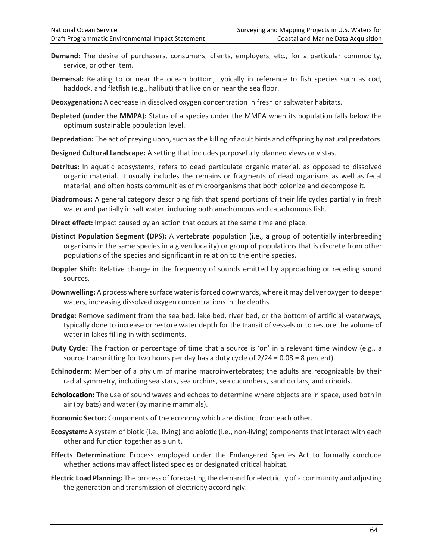- **Demand:** The desire of purchasers, consumers, clients, employers, etc., for a particular commodity, service, or other item.
- **Demersal:** Relating to or near the ocean bottom, typically in reference to fish species such as cod, haddock, and flatfish (e.g., halibut) that live on or near the sea floor.
- **Deoxygenation:** A decrease in dissolved oxygen concentration in fresh or saltwater habitats.
- **Depleted (under the MMPA):** Status of a species under the MMPA when its population falls below the optimum sustainable population level.
- **Depredation:** The act of preying upon, such as the killing of adult birds and offspring by natural predators.
- **Designed Cultural Landscape:** A setting that includes purposefully planned views or vistas.
- **Detritus:** In aquatic ecosystems, refers to dead particulate organic material, as opposed to dissolved organic material. It usually includes the remains or fragments of dead organisms as well as fecal material, and often hosts communities of microorganisms that both colonize and decompose it.
- **Diadromous:** A general category describing fish that spend portions of their life cycles partially in fresh water and partially in salt water, including both anadromous and catadromous fish.
- **Direct effect:** Impact caused by an action that occurs at the same time and place.
- **Distinct Population Segment (DPS):** A vertebrate population (i.e., a group of potentially interbreeding organisms in the same species in a given locality) or group of populations that is discrete from other populations of the species and significant in relation to the entire species.
- **Doppler Shift:** Relative change in the frequency of sounds emitted by approaching or receding sound sources.
- **Downwelling:** A process where surface water is forced downwards, where it may deliver oxygen to deeper waters, increasing dissolved oxygen concentrations in the depths.
- **Dredge:** Remove sediment from the sea bed, lake bed, river bed, or the bottom of artificial waterways, typically done to increase or restore water depth for the transit of vessels or to restore the volume of water in lakes filling in with sediments.
- **Duty Cycle:** The fraction or percentage of time that a source is 'on' in a relevant time window (e.g., a source transmitting for two hours per day has a duty cycle of  $2/24 = 0.08 = 8$  percent).
- **Echinoderm:** Member of a phylum of marine macroinvertebrates; the adults are recognizable by their radial symmetry, including sea stars, sea urchins, sea cucumbers, sand dollars, and crinoids.
- **Echolocation:** The use of sound waves and echoes to determine where objects are in space, used both in air (by bats) and water (by marine mammals).
- **Economic Sector:** Components of the economy which are distinct from each other.
- **Ecosystem:** A system of biotic (i.e., living) and abiotic (i.e., non-living) components that interact with each other and function together as a unit.
- **Effects Determination:** Process employed under the Endangered Species Act to formally conclude whether actions may affect listed species or designated critical habitat.
- **Electric Load Planning:** The process of forecasting the demand for electricity of a community and adjusting the generation and transmission of electricity accordingly.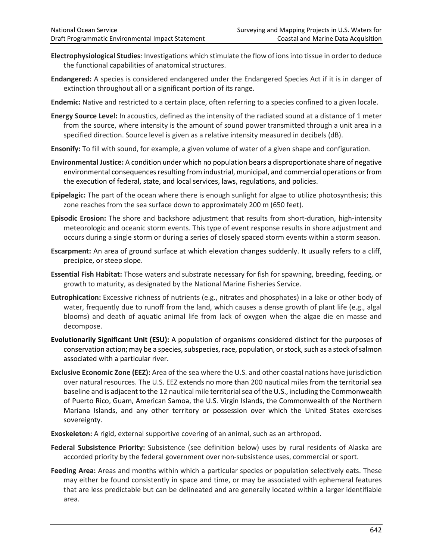- **Electrophysiological Studies**: Investigations which stimulate the flow of ions into tissue in order to deduce the functional capabilities of anatomical structures.
- **Endangered:** A species is considered endangered under the Endangered Species Act if it is in danger of extinction throughout all or a significant portion of its range.
- **Endemic:** Native and restricted to a certain place, often referring to a species confined to a given locale.
- **Energy Source Level:** In acoustics, defined as the intensity of the radiated sound at a distance of 1 meter from the source, where intensity is the amount of sound power transmitted through a unit area in a specified direction. Source level is given as a relative intensity measured in decibels (dB).
- **Ensonify:** To fill with sound, for example, a given volume of water of a given shape and configuration.
- **Environmental Justice:** A condition under which no population bears a disproportionate share of negative environmental consequences resulting from industrial, municipal, and commercial operations or from the execution of federal, state, and local services, laws, regulations, and policies.
- **Epipelagic:** The part of the ocean where there is enough sunlight for algae to utilize photosynthesis; this zone reaches from the sea surface down to approximately 200 m (650 feet).
- **Episodic Erosion:** The shore and backshore adjustment that results from short-duration, high-intensity meteorologic and oceanic storm events. This type of event response results in shore adjustment and occurs during a single storm or during a series of closely spaced storm events within a storm season.
- **Escarpment:** An area of ground surface at which elevation changes suddenly. It usually refers to a cliff, precipice, or steep slope.
- **Essential Fish Habitat:** Those waters and substrate necessary for fish for spawning, breeding, feeding, or growth to maturity, as designated by the National Marine Fisheries Service.
- **Eutrophication:** Excessive richness of nutrients (e.g., nitrates and phosphates) in a lake or other body of water, frequently due to runoff from the land, which causes a dense growth of plant life (e.g., algal blooms) and death of aquatic animal life from lack of oxygen when the algae die en masse and decompose.
- **Evolutionarily Significant Unit (ESU):** A population of organisms considered distinct for the purposes of conservation action; may be a species, subspecies, race, population, or stock, such as a stock of salmon associated with a particular river.
- **Exclusive Economic Zone (EEZ):** Area of the sea where the U.S. and other coastal nations have jurisdiction over natural resources. The U.S. EEZ extends no more than 200 nautical miles from the territorial sea baseline and is adjacent to the 12 nautical mile territorial sea of the U.S., including the Commonwealth of Puerto Rico, Guam, American Samoa, the U.S. Virgin Islands, the Commonwealth of the Northern Mariana Islands, and any other territory or possession over which the United States exercises sovereignty.
- **Exoskeleton:** A rigid, external supportive covering of an animal, such as an arthropod.
- **Federal Subsistence Priority:** Subsistence (see definition below) uses by rural residents of Alaska are accorded priority by the federal government over non-subsistence uses, commercial or sport.
- **Feeding Area:** Areas and months within which a particular species or population selectively eats. These may either be found consistently in space and time, or may be associated with ephemeral features that are less predictable but can be delineated and are generally located within a larger identifiable area.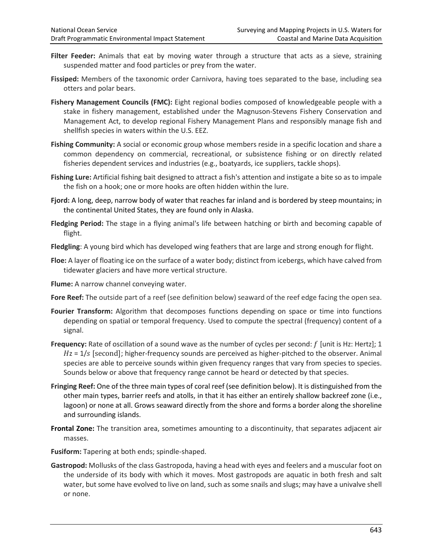- Filter Feeder: Animals that eat by moving water through a structure that acts as a sieve, straining suspended matter and food particles or prey from the water.
- **Fissiped:** Members of the taxonomic order Carnivora, having toes separated to the base, including sea otters and polar bears.
- **Fishery Management Councils (FMC):** Eight regional bodies composed of knowledgeable people with a stake in fishery management, established under the Magnuson-Stevens Fishery Conservation and Management Act, to develop regional Fishery Management Plans and responsibly manage fish and shellfish species in waters within the U.S. EEZ.
- **Fishing Community:** A social or economic group whose members reside in a specific location and share a common dependency on commercial, recreational, or subsistence fishing or on directly related fisheries dependent services and industries (e.g., boatyards, ice suppliers, tackle shops).
- **Fishing Lure:** Artificial fishing bait designed to attract a fish's attention and instigate a bite so as to impale the fish on a hook; one or more hooks are often hidden within the lure.
- **Fjord:** A long, deep, narrow body of water that reaches far inland and is bordered by steep mountains; in the continental United States, they are found only in Alaska.
- **Fledging Period:** The stage in a flying animal's life between hatching or birth and becoming capable of flight.
- **Fledgling**: A young bird which has developed wing feathers that are large and strong enough for flight.
- **Floe:** A layer of floating ice on the surface of a water body; distinct from icebergs, which have calved from tidewater glaciers and have more vertical structure.

**Flume:** A narrow channel conveying water.

- **Fore Reef:** The outside part of a reef (see definition below) seaward of the reef edge facing the open sea.
- **Fourier Transform:** Algorithm that decomposes functions depending on space or time into functions depending on spatial or temporal frequency. Used to compute the spectral (frequency) content of a signal.
- **Frequency:** Rate of oscillation of a sound wave as the number of cycles per second: f [unit is Hz: Hertz]; 1  $Hz = 1/s$  [second]; higher-frequency sounds are perceived as higher-pitched to the observer. Animal species are able to perceive sounds within given frequency ranges that vary from species to species. Sounds below or above that frequency range cannot be heard or detected by that species.
- **Fringing Reef:** One of the three main types of coral reef (see definition below). It is distinguished from the other main types, barrier reefs and atolls, in that it has either an entirely shallow backreef zone (i.e., lagoon) or none at all. Grows seaward directly from the shore and forms a border along the shoreline and surrounding islands.
- **Frontal Zone:** The transition area, sometimes amounting to a discontinuity, that separates adjacent air masses.
- **Fusiform:** Tapering at both ends; spindle-shaped.
- **Gastropod:** Mollusks of the class Gastropoda, having a head with eyes and feelers and a muscular foot on the underside of its body with which it moves. Most gastropods are aquatic in both fresh and salt water, but some have evolved to live on land, such as some snails and slugs; may have a univalve shell or none.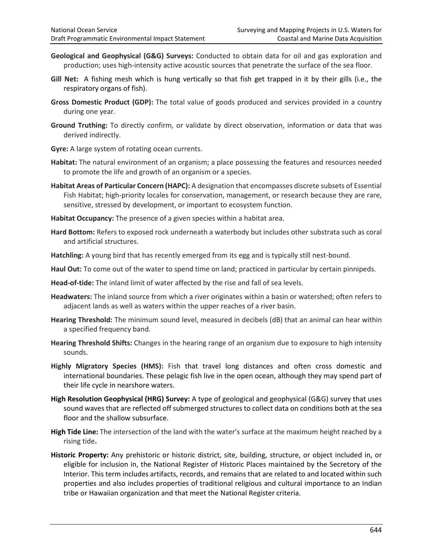- **Geological and Geophysical (G&G) Surveys:** Conducted to obtain data for oil and gas exploration and production; uses high-intensity active acoustic sources that penetrate the surface of the sea floor.
- **Gill Net:** A fishing mesh which is hung vertically so that fish get trapped in it by their gills (i.e., the respiratory organs of fish).
- **Gross Domestic Product (GDP):** The total value of goods produced and services provided in a country during one year.
- **Ground Truthing:** To directly confirm, or validate by direct observation, information or data that was derived indirectly.
- **Gyre:** A large system of rotating ocean currents.
- **Habitat:** The natural environment of an organism; a place possessing the features and resources needed to promote the life and growth of an organism or a species.
- **Habitat Areas of Particular Concern (HAPC):** A designation that encompasses discrete subsets of Essential Fish Habitat; high-priority locales for conservation, management, or research because they are rare, sensitive, stressed by development, or important to ecosystem function.
- **Habitat Occupancy:** The presence of a given species within a habitat area.
- **Hard Bottom:** Refers to exposed rock underneath a waterbody but includes other substrata such as coral and artificial structures.
- **Hatchling:** A young bird that has recently emerged from its egg and is typically still nest-bound.
- **Haul Out:** To come out of the water to spend time on land; practiced in particular by certain pinnipeds.
- **Head-of-tide:** The inland limit of water affected by the rise and fall of sea levels.
- **Headwaters:** The inland source from which a river originates within a basin or watershed; often refers to adjacent lands as well as waters within the upper reaches of a river basin.
- **Hearing Threshold:** The minimum sound level, measured in decibels (dB) that an animal can hear within a specified frequency band.
- **Hearing Threshold Shifts:** Changes in the hearing range of an organism due to exposure to high intensity sounds.
- **Highly Migratory Species (HMS):** Fish that travel long distances and often cross domestic and international boundaries. These pelagic fish live in the open ocean, although they may spend part of their life cycle in nearshore waters.
- **High Resolution Geophysical (HRG) Survey:** A type of geological and geophysical (G&G) survey that uses sound waves that are reflected off submerged structures to collect data on conditions both at the sea floor and the shallow subsurface.
- **High Tide Line:** The intersection of the land with the water's surface at the maximum height reached by a rising tide**.**
- **Historic Property:** Any prehistoric or historic district, site, building, structure, or object included in, or eligible for inclusion in, the National Register of Historic Places maintained by the Secretory of the Interior. This term includes artifacts, records, and remains that are related to and located within such properties and also includes properties of traditional religious and cultural importance to an Indian tribe or Hawaiian organization and that meet the National Register criteria.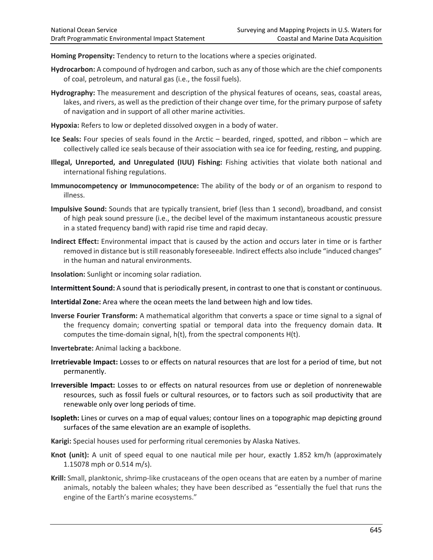**Homing Propensity:** Tendency to return to the locations where a species originated.

- **Hydrocarbon:** A compound of hydrogen and carbon, such as any of those which are the chief components of coal, petroleum, and natural gas (i.e., the fossil fuels).
- **Hydrography:** The measurement and description of the physical features of oceans, seas, coastal areas, lakes, and rivers, as well as the prediction of their change over time, for the primary purpose of safety of navigation and in support of all other marine activities.
- **Hypoxia:** Refers to low or depleted dissolved oxygen in a body of water.
- **Ice Seals:** Four species of seals found in the Arctic bearded, ringed, spotted, and ribbon which are collectively called ice seals because of their association with sea ice for feeding, resting, and pupping.
- **Illegal, Unreported, and Unregulated (IUU) Fishing:** Fishing activities that violate both national and international fishing regulations.
- **Immunocompetency or Immunocompetence:** The ability of the body or of an organism to respond to illness.
- **Impulsive Sound:** Sounds that are typically transient, brief (less than 1 second), broadband, and consist of high peak sound pressure (i.e., the decibel level of the maximum instantaneous acoustic pressure in a stated frequency band) with rapid rise time and rapid decay.
- **Indirect Effect:** Environmental impact that is caused by the action and occurs later in time or is farther removed in distance but is still reasonably foreseeable. Indirect effects also include "induced changes" in the human and natural environments.
- **Insolation:** Sunlight or incoming solar radiation.
- **Intermittent Sound:** A sound that is periodically present, in contrast to one that is constant or continuous.
- **Intertidal Zone:** Area where the ocean meets the land between high and low tides.
- **Inverse Fourier Transform:** A mathematical algorithm that converts a space or time signal to a signal of the frequency domain; converting spatial or temporal data into the frequency domain data. **It**  computes the time-domain signal, h(t), from the spectral components H(t).
- **Invertebrate:** Animal lacking a backbone.
- **Irretrievable Impact:** Losses to or effects on natural resources that are lost for a period of time, but not permanently.
- **Irreversible Impact:** Losses to or effects on natural resources from use or depletion of nonrenewable resources, such as fossil fuels or cultural resources, or to factors such as soil productivity that are renewable only over long periods of time.
- **Isopleth:** Lines or curves on a map of equal values; contour lines on a topographic map depicting ground surfaces of the same elevation are an example of isopleths.
- **Karigi:** Special houses used for performing ritual ceremonies by Alaska Natives.
- **Knot (unit):** A unit of speed equal to one nautical mile per hour, exactly 1.852 km/h (approximately 1.15078 mph or 0.514 m/s).
- **Krill:** Small, planktonic, shrimp-like crustaceans of the open oceans that are eaten by a number of marine animals, notably the baleen whales; they have been described as "essentially the fuel that runs the engine of the Earth's marine ecosystems."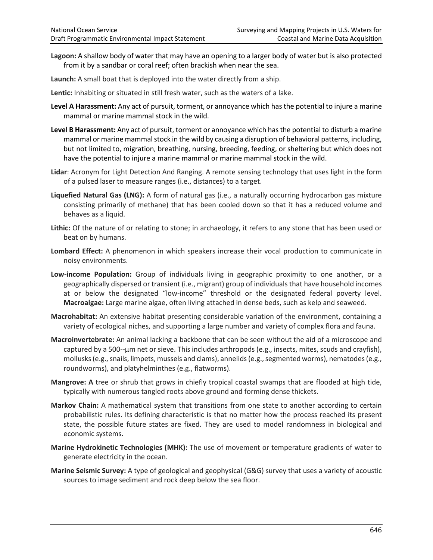- **Lagoon:** A shallow body of water that may have an opening to a larger body of water but is also protected from it by a sandbar or coral reef; often brackish when near the sea.
- **Launch:** A small boat that is deployed into the water directly from a ship.
- **Lentic:** Inhabiting or situated in still fresh water, such as the waters of a lake.
- **Level A Harassment:** Any act of pursuit, torment, or annoyance which has the potential to injure a marine mammal or marine mammal stock in the wild.
- **Level B Harassment:** Any act of pursuit, torment or annoyance which has the potential to disturb a marine mammal or marine mammal stock in the wild by causing a disruption of behavioral patterns, including, but not limited to, migration, breathing, nursing, breeding, feeding, or sheltering but which does not have the potential to injure a marine mammal or marine mammal stock in the wild.
- **Lidar**: Acronym for Light Detection And Ranging. A remote sensing technology that uses light in the form of a pulsed laser to measure ranges (i.e., distances) to a target.
- **Liquefied Natural Gas (LNG):** A form of natural gas (i.e., a naturally occurring hydrocarbon gas mixture consisting primarily of methane) that has been cooled down so that it has a reduced volume and behaves as a liquid.
- **Lithic:** Of the nature of or relating to stone; in archaeology, it refers to any stone that has been used or beat on by humans.
- **Lombard Effect:** A phenomenon in which speakers increase their vocal production to communicate in noisy environments.
- **Low-income Population:** Group of individuals living in geographic proximity to one another, or a geographically dispersed or transient (i.e., migrant) group of individuals that have household incomes at or below the designated "low-income" threshold or the designated federal poverty level. **Macroalgae:** Large marine algae, often living attached in dense beds, such as kelp and seaweed.
- **Macrohabitat:** An extensive habitat presenting considerable variation of the environment, containing a variety of ecological niches, and supporting a large number and variety of complex flora and fauna.
- **Macroinvertebrate:** An animal lacking a backbone that can be seen without the aid of a microscope and captured by a 500--µm net or sieve. This includes arthropods (e.g., insects, mites, scuds and crayfish), mollusks (e.g., snails, limpets, mussels and clams), annelids (e.g., segmented worms), nematodes (e.g., roundworms), and platyhelminthes (e.g., flatworms).
- **Mangrove: A** tree or shrub that grows in chiefly tropical coastal swamps that are flooded at high tide, typically with numerous tangled roots above ground and forming dense thickets.
- **Markov Chain:** A mathematical system that transitions from one state to another according to certain probabilistic rules. Its defining characteristic is that no matter how the process reached its present state, the possible future states are fixed. They are used to model randomness in biological and economic systems.
- **Marine Hydrokinetic Technologies (MHK):** The use of movement or temperature gradients of water to generate electricity in the ocean.
- **Marine Seismic Survey:** A type of geological and geophysical (G&G) survey that uses a variety of acoustic sources to image sediment and rock deep below the sea floor.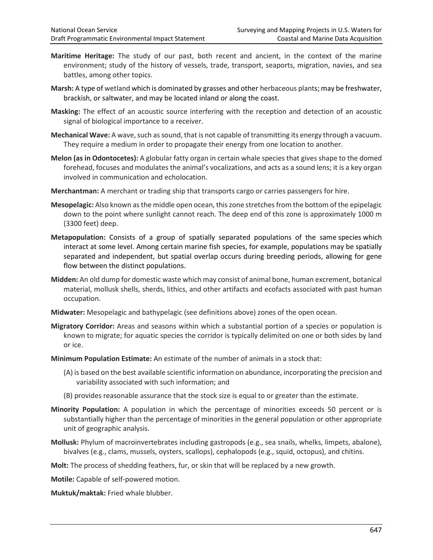- **Maritime Heritage:** The study of our past, both recent and ancient, in the context of the marine environment; study of the history of vessels, trade, transport, seaports, migration, navies, and sea battles, among other topics.
- **Marsh:** A type of wetland which is dominated by grasses and other herbaceous plants; may be freshwater, brackish, or saltwater, and may be located inland or along the coast.
- **Masking:** The effect of an acoustic source interfering with the reception and detection of an acoustic signal of biological importance to a receiver.
- **Mechanical Wave:** A wave, such as sound, that is not capable of transmitting its energy through a vacuum. They require a medium in order to propagate their energy from one location to another.
- **Melon (as in Odontocetes):** A globular fatty organ in certain whale species that gives shape to the domed forehead, focuses and modulates the animal's vocalizations, and acts as a sound lens; it is a key organ involved in communication and echolocation.
- **Merchantman:** A merchant or trading ship that transports cargo or carries passengers for hire.
- **Mesopelagic:** Also known as the middle open ocean, this zone stretches from the bottom of the epipelagic down to the point where sunlight cannot reach. The deep end of this zone is approximately 1000 m (3300 feet) deep.
- **Metapopulation:** Consists of a group of spatially separated populations of the same species which interact at some level. Among certain marine fish species, for example, populations may be spatially separated and independent, but spatial overlap occurs during breeding periods, allowing for gene flow between the distinct populations.
- **Midden:** An old dump for domestic waste which may consist of animal bone, human excrement, botanical material, mollusk shells, sherds, lithics, and other artifacts and ecofacts associated with past human occupation.
- **Midwater:** Mesopelagic and bathypelagic (see definitions above) zones of the open ocean.
- **Migratory Corridor:** Areas and seasons within which a substantial portion of a species or population is known to migrate; for aquatic species the corridor is typically delimited on one or both sides by land or ice.
- **Minimum Population Estimate:** An estimate of the number of animals in a stock that:
	- (A) is based on the best available scientific information on abundance, incorporating the precision and variability associated with such information; and
	- (B) provides reasonable assurance that the stock size is equal to or greater than the estimate.
- **Minority Population:** A population in which the percentage of minorities exceeds 50 percent or is substantially higher than the percentage of minorities in the general population or other appropriate unit of geographic analysis.
- **Mollusk:** Phylum of macroinvertebrates including gastropods (e.g., sea snails, whelks, limpets, abalone), bivalves (e.g., clams, mussels, oysters, scallops), cephalopods (e.g., squid, octopus), and chitins.
- **Molt:** The process of shedding feathers, fur, or skin that will be replaced by a new growth.
- **Motile:** Capable of self-powered motion.
- **Muktuk/maktak:** Fried whale blubber.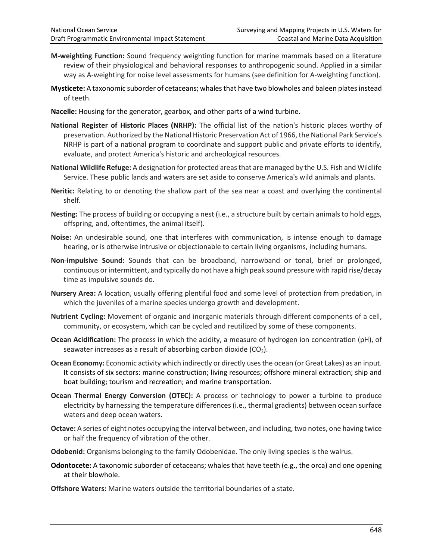- **M-weighting Function:** Sound frequency weighting function for marine mammals based on a literature review of their physiological and behavioral responses to anthropogenic sound. Applied in a similar way as A-weighting for noise level assessments for humans (see definition for A-weighting function).
- **Mysticete:** A taxonomic suborder of cetaceans; whales that have two blowholes and baleen platesinstead of teeth.
- **Nacelle:** Housing for the generator, gearbox, and other parts of a wind turbine.
- **National Register of Historic Places (NRHP):** The official list of the nation's historic places worthy of preservation. Authorized by the National Historic Preservation Act of 1966, the National Park Service's NRHP is part of a national program to coordinate and support public and private efforts to identify, evaluate, and protect America's historic and archeological resources.
- **National Wildlife Refuge:** A designation for protected areas that are managed by the U.S. Fish and Wildlife Service. These public lands and waters are set aside to conserve America's wild animals and plants.
- **Neritic:** Relating to or denoting the shallow part of the sea near a coast and overlying the continental shelf.
- **Nesting:** The process of building or occupying a nest (i.e., a structure built by certain animals to hold eggs, offspring, and, oftentimes, the animal itself).
- **Noise:** An undesirable sound, one that interferes with communication, is intense enough to damage hearing, or is otherwise intrusive or objectionable to certain living organisms, including humans.
- **Non-impulsive Sound:** Sounds that can be broadband, narrowband or tonal, brief or prolonged, continuous or intermittent, and typically do not have a high peak sound pressure with rapid rise/decay time as impulsive sounds do.
- **Nursery Area:** A location, usually offering plentiful food and some level of protection from predation, in which the juveniles of a marine species undergo growth and development.
- **Nutrient Cycling:** Movement of organic and inorganic materials through different components of a cell, community, or ecosystem, which can be cycled and reutilized by some of these components.
- **Ocean Acidification:** The process in which the acidity, a measure of hydrogen ion concentration (pH), of seawater increases as a result of absorbing carbon dioxide  $(CO<sub>2</sub>)$ .
- **Ocean Economy:** Economic activity which indirectly or directly uses the ocean (or Great Lakes) as an input. It consists of six sectors: marine construction; living resources; offshore mineral extraction; ship and boat building; tourism and recreation; and marine transportation.
- **Ocean Thermal Energy Conversion (OTEC):** A process or technology to power a turbine to produce electricity by harnessing the temperature differences (i.e., thermal gradients) between ocean surface waters and deep ocean waters.
- **Octave:** A series of eight notes occupying the interval between, and including, two notes, one having twice or half the frequency of vibration of the other.
- **Odobenid:** Organisms belonging to the family Odobenidae. The only living species is the walrus.
- **Odontocete:** A taxonomic suborder of cetaceans; whales that have teeth (e.g., the orca) and one opening at their blowhole.
- **Offshore Waters:** Marine waters outside the territorial boundaries of a state.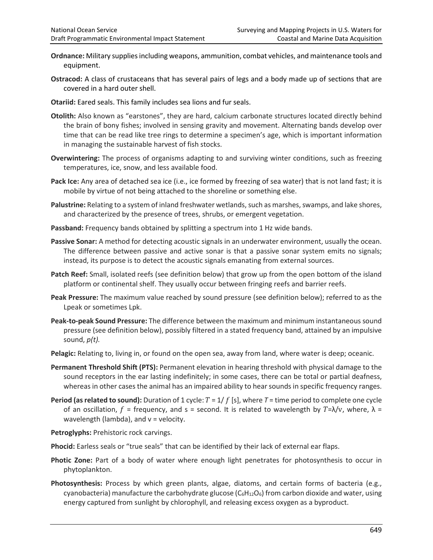- **Ordnance:** Military supplies including weapons, ammunition, combat vehicles, and maintenance tools and equipment.
- **Ostracod:** A class of crustaceans that has several pairs of legs and a body made up of sections that are covered in a hard outer shell.
- **Otariid:** Eared seals. This family includes sea lions and fur seals.
- **Otolith:** Also known as "earstones", they are hard, calcium carbonate structures located directly behind the brain of bony fishes; involved in sensing gravity and movement. Alternating bands develop over time that can be read like tree rings to determine a specimen's age, which is important information in managing the sustainable harvest of fish stocks.
- **Overwintering:** The process of organisms adapting to and surviving winter conditions, such as freezing temperatures, ice, snow, and less available food.
- **Pack Ice:** Any area of detached sea ice (i.e., ice formed by freezing of sea water) that is not land fast; it is mobile by virtue of not being attached to the shoreline or something else.
- **Palustrine:** Relating to a system of inland freshwater wetlands, such as marshes, swamps, and lake shores, and characterized by the presence of trees, shrubs, or emergent vegetation.
- **Passband:** Frequency bands obtained by splitting a spectrum into 1 Hz wide bands.
- **Passive Sonar:** A method for detecting acoustic signals in an underwater environment, usually the ocean. The difference between passive and active sonar is that a passive sonar system emits no signals; instead, its purpose is to detect the acoustic signals emanating from external sources.
- **Patch Reef:** Small, isolated reefs (see definition below) that grow up from the open bottom of the island platform or continental shelf. They usually occur between fringing reefs and barrier reefs.
- **Peak Pressure:** The maximum value reached by sound pressure (see definition below); referred to as the Lpeak or sometimes Lpk.
- **Peak-to-peak Sound Pressure:** The difference between the maximum and minimum instantaneous sound pressure (see definition below), possibly filtered in a stated frequency band, attained by an impulsive sound, *p(t).*
- Pelagic: Relating to, living in, or found on the open sea, away from land, where water is deep; oceanic.
- **Permanent Threshold Shift (PTS):** Permanent elevation in hearing threshold with physical damage to the sound receptors in the ear lasting indefinitely; in some cases, there can be total or partial deafness, whereas in other cases the animal has an impaired ability to hear sounds in specific frequency ranges.
- **Period (as related to sound):** Duration of 1 cycle:  $T = 1/f$  [s], where  $T =$  time period to complete one cycle of an oscillation,  $f =$  frequency, and s = second. It is related to wavelength by  $T = \lambda/v$ , where,  $\lambda =$ wavelength (lambda), and  $v =$  velocity.

**Petroglyphs:** Prehistoric rock carvings.

- **Phocid:** Earless seals or "true seals" that can be identified by their lack of external ear flaps.
- Photic Zone: Part of a body of water where enough light penetrates for photosynthesis to occur in phytoplankton.
- **Photosynthesis:** Process by which green plants, algae, diatoms, and certain forms of bacteria (e.g., cyanobacteria) manufacture the carbohydrate glucose  $(C_6H_{12}O_6)$  from carbon dioxide and water, using energy captured from sunlight by chlorophyll, and releasing excess oxygen as a byproduct.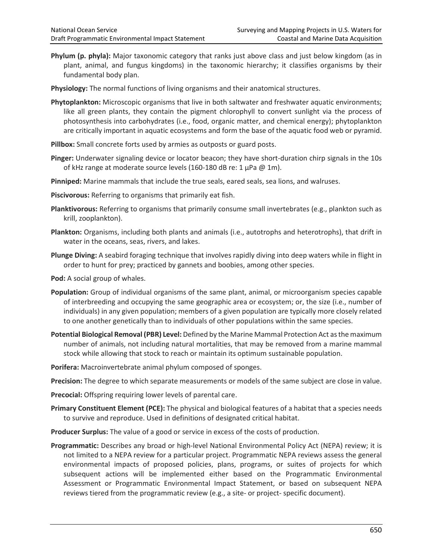- **Phylum (p. phyla):** Major taxonomic category that ranks just above class and just below kingdom (as in plant, animal, and fungus kingdoms) in the taxonomic hierarchy; it classifies organisms by their fundamental body plan.
- **Physiology:** The normal functions of living organisms and their anatomical structures.
- **Phytoplankton:** Microscopic organisms that live in both saltwater and freshwater aquatic environments; like all green plants, they contain the pigment chlorophyll to convert sunlight via the process of photosynthesis into carbohydrates (i.e., food, organic matter, and chemical energy); phytoplankton are critically important in aquatic ecosystems and form the base of the aquatic food web or pyramid.
- **Pillbox:** Small concrete forts used by armies as outposts or guard posts.
- **Pinger:** Underwater signaling device or locator beacon; they have short-duration chirp signals in the 10s of kHz range at moderate source levels (160-180 dB re: 1  $\mu$ Pa @ 1m).
- **Pinniped:** Marine mammals that include the true seals, eared seals, sea lions, and walruses.
- **Piscivorous:** Referring to organisms that primarily eat fish.
- **Planktivorous:** Referring to organisms that primarily consume small invertebrates (e.g., plankton such as krill, zooplankton).
- **Plankton:** Organisms, including both plants and animals (i.e., autotrophs and heterotrophs), that drift in water in the oceans, seas, rivers, and lakes.
- **Plunge Diving:** A seabird foraging technique that involves rapidly diving into deep waters while in flight in order to hunt for prey; practiced by gannets and boobies, among other species.
- **Pod:** A social group of whales.
- **Population:** Group of individual organisms of the same plant, animal, or microorganism species capable of interbreeding and occupying the same geographic area or ecosystem; or, the size (i.e., number of individuals) in any given population; members of a given population are typically more closely related to one another genetically than to individuals of other populations within the same species.
- **Potential Biological Removal (PBR) Level:** Defined by the Marine Mammal Protection Act as the maximum number of animals, not including natural mortalities, that may be removed from a marine mammal stock while allowing that stock to reach or maintain its optimum sustainable population.
- **Porifera:** Macroinvertebrate animal phylum composed of sponges.
- **Precision:** The degree to which separate measurements or models of the same subject are close in value.
- **Precocial:** Offspring requiring lower levels of parental care.
- **Primary Constituent Element (PCE):** The physical and biological features of a habitat that a species needs to survive and reproduce. Used in definitions of designated critical habitat.
- **Producer Surplus:** The value of a good or service in excess of the costs of production.
- **Programmatic:** Describes any broad or high-level National Environmental Policy Act (NEPA) review; it is not limited to a NEPA review for a particular project. Programmatic NEPA reviews assess the general environmental impacts of proposed policies, plans, programs, or suites of projects for which subsequent actions will be implemented either based on the Programmatic Environmental Assessment or Programmatic Environmental Impact Statement, or based on subsequent NEPA reviews tiered from the programmatic review (e.g., a site- or project- specific document).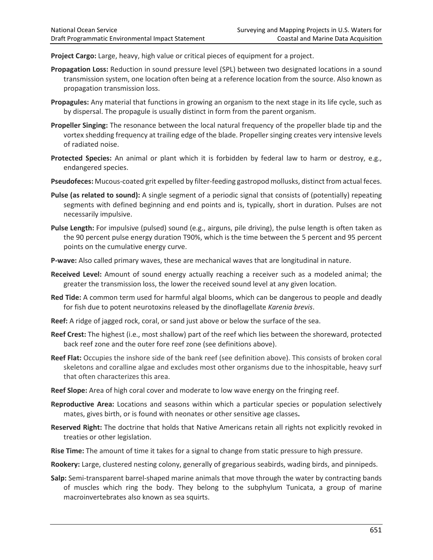**Project Cargo:** Large, heavy, high value or critical pieces of equipment for a project.

- **Propagation Loss:** Reduction in sound pressure level (SPL) between two designated locations in a sound transmission system, one location often being at a reference location from the source. Also known as propagation transmission loss.
- **Propagules:** Any material that functions in growing an organism to the next stage in its life cycle, such as by dispersal. The propagule is usually distinct in form from the parent organism.
- **Propeller Singing:** The resonance between the local natural frequency of the propeller blade tip and the vortex shedding frequency at trailing edge of the blade. Propeller singing creates very intensive levels of radiated noise.
- **Protected Species:** An animal or plant which it is forbidden by federal law to harm or destroy, e.g., endangered species.
- **Pseudofeces:** Mucous-coated grit expelled by filter-feeding gastropod mollusks, distinct from actual feces.
- **Pulse (as related to sound):** A single segment of a periodic signal that consists of (potentially) repeating segments with defined beginning and end points and is, typically, short in duration. Pulses are not necessarily impulsive.
- **Pulse Length:** For impulsive (pulsed) sound (e.g., airguns, pile driving), the pulse length is often taken as the 90 percent pulse energy duration T90%, which is the time between the 5 percent and 95 percent points on the cumulative energy curve.
- **P-wave:** Also called primary waves, these are mechanical waves that are longitudinal in nature.
- **Received Level:** Amount of sound energy actually reaching a receiver such as a modeled animal; the greater the transmission loss, the lower the received sound level at any given location.
- **Red Tide:** A common term used for harmful algal blooms, which can be dangerous to people and deadly for fish due to potent neurotoxins released by the dinoflagellate *Karenia brevis*.
- **Reef:** A ridge of jagged rock, coral, or sand just above or below the surface of the sea.
- **Reef Crest:** The highest (i.e., most shallow) part of the reef which lies between the shoreward, protected back reef zone and the outer fore reef zone (see definitions above).
- **Reef Flat:** Occupies the inshore side of the bank reef (see definition above). This consists of broken coral skeletons and coralline algae and excludes most other organisms due to the inhospitable, heavy surf that often characterizes this area.
- **Reef Slope:** Area of high coral cover and moderate to low wave energy on the fringing reef.
- **Reproductive Area:** Locations and seasons within which a particular species or population selectively mates, gives birth, or is found with neonates or other sensitive age classes**.**
- **Reserved Right:** The doctrine that holds that Native Americans retain all rights not explicitly revoked in treaties or other legislation.
- **Rise Time:** The amount of time it takes for a signal to change from static pressure to high pressure.
- **Rookery:** Large, clustered nesting colony, generally of gregarious seabirds, wading birds, and pinnipeds.
- **Salp:** Semi-transparent barrel-shaped marine animals that move through the water by contracting bands of muscles which ring the body. They belong to the subphylum Tunicata, a group of marine macroinvertebrates also known as sea squirts.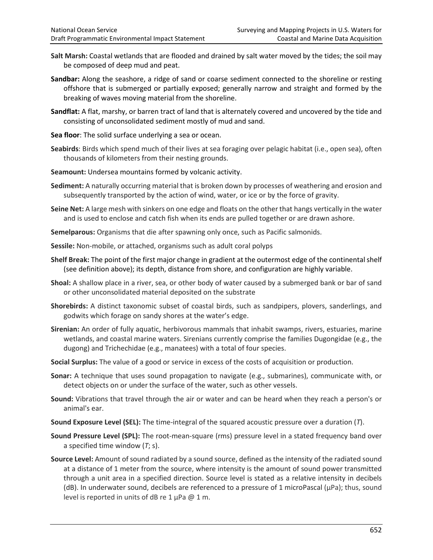- **Salt Marsh:** Coastal wetlands that are flooded and drained by salt water moved by the tides; the soil may be composed of deep mud and peat.
- **Sandbar:** Along the seashore, a ridge of sand or coarse sediment connected to the shoreline or resting offshore that is submerged or partially exposed; generally narrow and straight and formed by the breaking of waves moving material from the shoreline.
- **Sandflat:** A flat, marshy, or barren tract of land that is alternately covered and uncovered by the tide and consisting of unconsolidated sediment mostly of mud and sand.
- **Sea floor**: The solid surface underlying a sea or ocean.
- **Seabirds**: Birds which spend much of their lives at sea foraging over pelagic habitat (i.e., open sea), often thousands of kilometers from their nesting grounds.
- **Seamount:** Undersea mountains formed by volcanic activity.
- **Sediment:** A naturally occurring material that is broken down by processes of weathering and erosion and subsequently transported by the action of wind, water, or ice or by the force of gravity.
- **Seine Net:** A large mesh with sinkers on one edge and floats on the other that hangs vertically in the water and is used to enclose and catch fish when its ends are pulled together or are drawn ashore.
- **Semelparous:** Organisms that die after spawning only once, such as Pacific salmonids.
- **Sessile:** Non-mobile, or attached, organisms such as adult coral polyps
- **Shelf Break:** The point of the first major change in gradient at the outermost edge of the continental shelf (see definition above); its depth, distance from shore, and configuration are highly variable.
- **Shoal:** A shallow place in a river, sea, or other body of water caused by a submerged bank or bar of sand or other unconsolidated material deposited on the substrate
- **Shorebirds:** A distinct taxonomic subset of coastal birds, such as sandpipers, plovers, sanderlings, and godwits which forage on sandy shores at the water's edge.
- **Sirenian:** An order of fully aquatic, herbivorous mammals that inhabit swamps, rivers, estuaries, marine wetlands, and coastal marine waters. Sirenians currently comprise the families Dugongidae (e.g., the dugong) and Trichechidae (e.g., manatees) with a total of four species.
- **Social Surplus:** The value of a good or service in excess of the costs of acquisition or production.
- **Sonar:** A technique that uses sound propagation to navigate (e.g., submarines), communicate with, or detect objects on or under the surface of the water, such as other vessels.
- **Sound:** Vibrations that travel through the air or water and can be heard when they reach a person's or animal's ear.
- **Sound Exposure Level (SEL):** The time-integral of the squared acoustic pressure over a duration (*T*).
- **Sound Pressure Level (SPL):** The root-mean-square (rms) pressure level in a stated frequency band over a specified time window (*T*; s).
- **Source Level:** Amount of sound radiated by a sound source, defined as the intensity of the radiated sound at a distance of 1 meter from the source, where intensity is the amount of sound power transmitted through a unit area in a specified direction. Source level is stated as a relative intensity in decibels (dB). In underwater sound, decibels are referenced to a pressure of 1 microPascal ( $\mu$ Pa); thus, sound level is reported in units of dB re  $1 \mu Pa \ @ \ 1 \text{ m}.$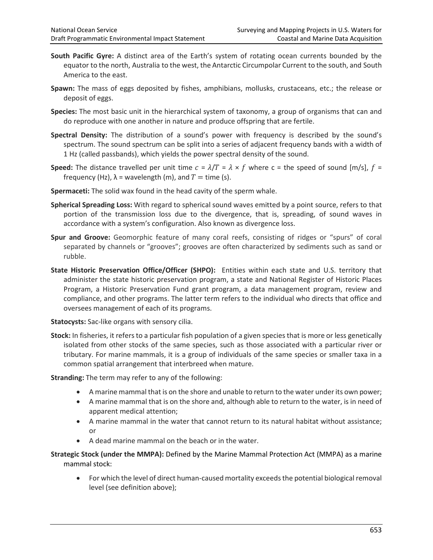- **South Pacific Gyre:** A distinct area of the Earth's system of rotating ocean currents bounded by the equator to the north, Australia to the west, the Antarctic Circumpolar Current to the south, and South America to the east.
- **Spawn:** The mass of eggs deposited by fishes, amphibians, mollusks, crustaceans, etc.; the release or deposit of eggs.
- **Species:** The most basic unit in the hierarchical system of taxonomy, a group of organisms that can and do reproduce with one another in nature and produce offspring that are fertile.
- **Spectral Density:** The distribution of a sound's power with frequency is described by the sound's spectrum. The sound spectrum can be split into a series of adjacent frequency bands with a width of 1 Hz (called passbands), which yields the power spectral density of the sound.
- **Speed:** The distance travelled per unit time  $c = \lambda/T = \lambda \times f$  where c = the speed of sound  $[m/s]$ ,  $f =$ frequency (Hz),  $\lambda$  = wavelength (m), and  $T =$  time (s).
- **Spermaceti:** The solid wax found in the head cavity of the sperm whale.
- **Spherical Spreading Loss:** With regard to spherical sound waves emitted by a point source, refers to that portion of the transmission loss due to the divergence, that is, spreading, of sound waves in accordance with a system's configuration. Also known as divergence loss.
- **Spur and Groove:** Geomorphic feature of many coral reefs, consisting of ridges or "spurs" of coral separated by channels or "grooves"; grooves are often characterized by sediments such as sand or rubble.
- **State Historic Preservation Office/Officer (SHPO):** Entities within each state and U.S. territory that administer the state historic preservation program, a state and National Register of Historic Places Program, a Historic Preservation Fund grant program, a data management program, review and compliance, and other programs. The latter term refers to the individual who directs that office and oversees management of each of its programs.

**Statocysts:** Sac-like organs with sensory cilia.

**Stock:** In fisheries, it refers to a particular fish population of a given species that is more or less genetically isolated from other stocks of the same species, such as those associated with a particular river or tributary. For marine mammals, it is a group of individuals of the same species or smaller taxa in a common spatial arrangement that interbreed when mature.

**Stranding:** The term may refer to any of the following:

- A marine mammal that is on the shore and unable to return to the water under its own power;
- A marine mammal that is on the shore and, although able to return to the water, is in need of apparent medical attention;
- A marine mammal in the water that cannot return to its natural habitat without assistance; or
- A dead marine mammal on the beach or in the water.
- **Strategic Stock (under the MMPA):** Defined by the Marine Mammal Protection Act (MMPA) as a marine mammal stock:
	- For which the level of direct human-caused mortality exceeds the potential biological removal level (see definition above);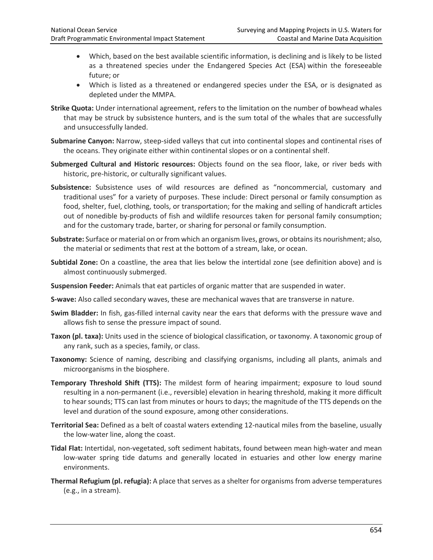- Which, based on the best available scientific information, is declining and is likely to be listed as a threatened species under the Endangered Species Act (ESA) within the foreseeable future; or
- Which is listed as a threatened or endangered species under the ESA, or is designated as depleted under the MMPA.
- **Strike Quota:** Under international agreement, refers to the limitation on the number of bowhead whales that may be struck by subsistence hunters, and is the sum total of the whales that are successfully and unsuccessfully landed.
- **Submarine Canyon:** Narrow, steep-sided valleys that cut into continental slopes and continental rises of the oceans. They originate either within continental slopes or on a continental shelf.
- **Submerged Cultural and Historic resources:** Objects found on the sea floor, lake, or river beds with historic, pre-historic, or culturally significant values.
- **Subsistence:** Subsistence uses of wild resources are defined as "noncommercial, customary and traditional uses" for a variety of purposes. These include: Direct personal or family consumption as food, shelter, fuel, clothing, tools, or transportation; for the making and selling of handicraft articles out of nonedible by-products of fish and wildlife resources taken for personal family consumption; and for the customary trade, barter, or sharing for personal or family consumption.
- **Substrate:** Surface or material on or from which an organism lives, grows, or obtains its nourishment; also, the material or sediments that rest at the bottom of a stream, lake, or ocean.
- **Subtidal Zone:** On a coastline, the area that lies below the intertidal zone (see definition above) and is almost continuously submerged.
- **Suspension Feeder:** Animals that eat particles of organic matter that are suspended in water.
- **S-wave:** Also called secondary waves, these are mechanical waves that are transverse in nature.
- **Swim Bladder:** In fish, gas-filled internal cavity near the ears that deforms with the pressure wave and allows fish to sense the pressure impact of sound.
- **Taxon (pl. taxa):** Units used in the science of biological classification, or taxonomy. A taxonomic group of any rank, such as a species, family, or class.
- **Taxonomy:** Science of naming, describing and classifying organisms, including all plants, animals and microorganisms in the biosphere.
- **Temporary Threshold Shift (TTS):** The mildest form of hearing impairment; exposure to loud sound resulting in a non-permanent (i.e., reversible) elevation in hearing threshold, making it more difficult to hear sounds; TTS can last from minutes or hours to days; the magnitude of the TTS depends on the level and duration of the sound exposure, among other considerations.
- **Territorial Sea:** Defined as a belt of coastal waters extending 12-nautical miles from the baseline, usually the low-water line, along the coast.
- **Tidal Flat:** Intertidal, non-vegetated, soft sediment habitats, found between mean high-water and mean low-water spring tide datums and generally located in estuaries and other low energy marine environments.
- **Thermal Refugium (pl. refugia):** A place that serves as a shelter for organisms from adverse temperatures (e.g., in a stream).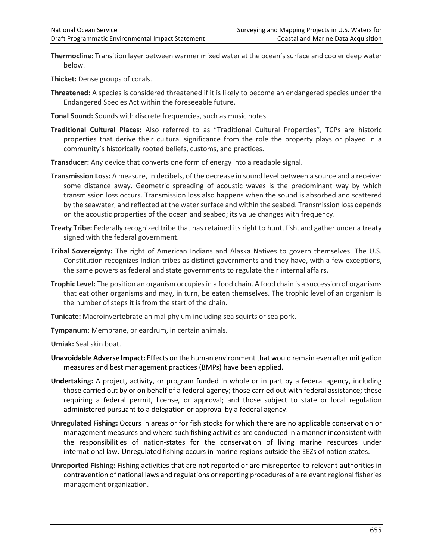**Thermocline:** Transition layer between warmer mixed water at the ocean's surface and cooler deep water below.

**Thicket:** Dense groups of corals.

- **Threatened:** A species is considered threatened if it is likely to become an endangered species under the Endangered Species Act within the foreseeable future.
- **Tonal Sound:** Sounds with discrete frequencies, such as music notes.
- **Traditional Cultural Places:** Also referred to as "Traditional Cultural Properties", TCPs are historic properties that derive their cultural significance from the role the property plays or played in a community's historically rooted beliefs, customs, and practices.
- **Transducer:** Any device that converts one form of energy into a readable signal.
- **Transmission Loss:** A measure, in decibels, of the decrease in sound level between a source and a receiver some distance away. Geometric spreading of acoustic waves is the predominant way by which transmission loss occurs. Transmission loss also happens when the sound is absorbed and scattered by the seawater, and reflected at the water surface and within the seabed. Transmission loss depends on the acoustic properties of the ocean and seabed; its value changes with frequency.
- **Treaty Tribe:** Federally recognized tribe that has retained its right to hunt, fish, and gather under a treaty signed with the federal government.
- **Tribal Sovereignty:** The right of American Indians and Alaska Natives to govern themselves. The U.S. Constitution recognizes Indian tribes as distinct governments and they have, with a few exceptions, the same powers as federal and state governments to regulate their internal affairs.
- **Trophic Level:** The position an organism occupies in a food chain. A food chain is a succession of organisms that eat other organisms and may, in turn, be eaten themselves. The trophic level of an organism is the number of steps it is from the start of the chain.
- **Tunicate:** Macroinvertebrate animal phylum including sea squirts or sea pork.
- **Tympanum:** Membrane, or eardrum, in certain animals.

**Umiak:** Seal skin boat.

- **Unavoidable Adverse Impact:** Effects on the human environment that would remain even after mitigation measures and best management practices (BMPs) have been applied.
- **Undertaking:** A project, activity, or program funded in whole or in part by a federal agency, including those carried out by or on behalf of a federal agency; those carried out with federal assistance; those requiring a federal permit, license, or approval; and those subject to state or local regulation administered pursuant to a delegation or approval by a federal agency.
- **Unregulated Fishing:** Occurs in areas or for fish stocks for which there are no applicable conservation or management measures and where such fishing activities are conducted in a manner inconsistent with the responsibilities of nation-states for the conservation of living marine resources under international law. Unregulated fishing occurs in marine regions outside the EEZs of nation-states.
- **Unreported Fishing:** Fishing activities that are not reported or are misreported to relevant authorities in contravention of national laws and regulations or reporting procedures of a relevant regional fisheries management organization.